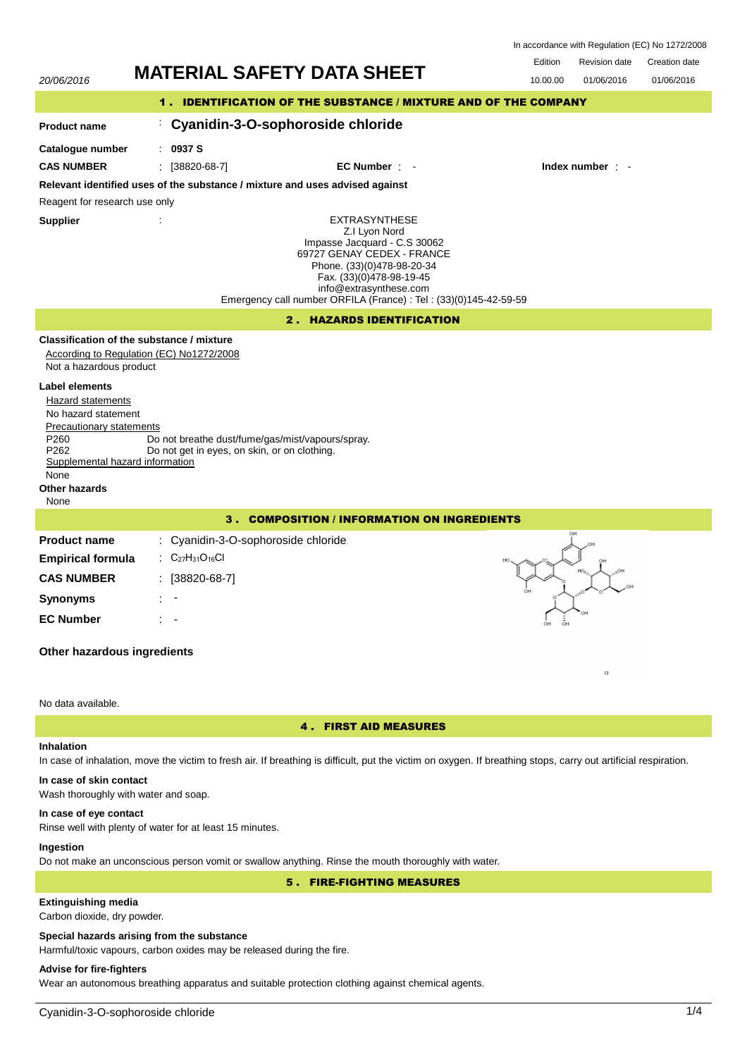| In accordance with Regulation (EC) No 1272/2008 |  |  |  |
|-------------------------------------------------|--|--|--|
|-------------------------------------------------|--|--|--|

| Povicion dato | Croption data |
|---------------|---------------|

20/06/2016 **MATERIAL SAFETY DATA SHEET** 10.00.00 01/06/2016 Revision date 01/06/2016 **Edition** 1 . IDENTIFICATION OF THE SUBSTANCE / MIXTURE AND OF THE COMPANY **Product name Catalogue number** : **Cyanidin-3-O-sophoroside chloride** : **0937 S** EXTRASYNTHESE Z.I Lyon Nord Impasse Jacquard - C.S 30062 69727 GENAY CEDEX - FRANCE Phone. (33)(0)478-98-20-34 Fax. (33)(0)478-98-19-45 info@extrasynthese.com Emergency call number ORFILA (France) : Tel : (33)(0)145-42-59-59 **Relevant identified uses of the substance / mixture and uses advised against** Reagent for research use only **CAS NUMBER** : [38820-68-7] **EC Number** : - **Index number** : - 2 . HAZARDS IDENTIFICATION **Classification of the substance / mixture** According to Regulation (EC) No1272/2008 Not a hazardous product **Label elements** Hazard statements No hazard statement Precautionary statements P260 Do not breathe dust/fume/gas/mist/vapours/spray.<br>P262 Do not get in eves, on skin, or on clothing. Do not get in eyes, on skin, or on clothing. Supplemental hazard information **Other hazards** 3 . COMPOSITION / INFORMATION ON INGREDIENTS **Product name Empirical formula** : Cyanidin-3-O-sophoroside chloride : C<sub>27</sub>H<sub>31</sub>O<sub>16</sub>Cl **CAS NUMBER** : [38820-68-7] **Synonyms** : - **EC Number** : -

# **Other hazardous ingredients**

# No data available.

## 4 . FIRST AID MEASURES

## **Inhalation**

**Supplier** :

None

None

In case of inhalation, move the victim to fresh air. If breathing is difficult, put the victim on oxygen. If breathing stops, carry out artificial respiration.

# **In case of skin contact**

Wash thoroughly with water and soap.

#### **In case of eye contact**

Rinse well with plenty of water for at least 15 minutes.

### **Ingestion**

Do not make an unconscious person vomit or swallow anything. Rinse the mouth thoroughly with water.

5 . FIRE-FIGHTING MEASURES

# **Extinguishing media**

Carbon dioxide, dry powder.

#### **Special hazards arising from the substance**

Harmful/toxic vapours, carbon oxides may be released during the fire.

## **Advise for fire-fighters**

Wear an autonomous breathing apparatus and suitable protection clothing against chemical agents.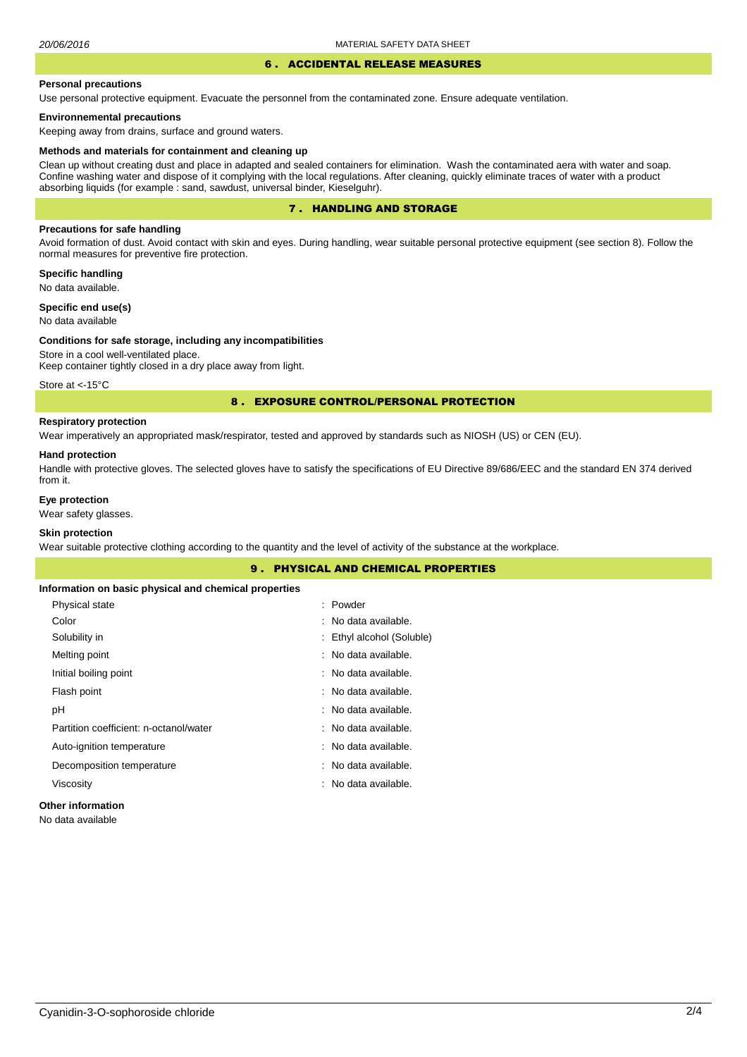## 6 . ACCIDENTAL RELEASE MEASURES

#### **Personal precautions**

Use personal protective equipment. Evacuate the personnel from the contaminated zone. Ensure adequate ventilation.

#### **Environnemental precautions**

Keeping away from drains, surface and ground waters.

#### **Methods and materials for containment and cleaning up**

Clean up without creating dust and place in adapted and sealed containers for elimination. Wash the contaminated aera with water and soap. Confine washing water and dispose of it complying with the local regulations. After cleaning, quickly eliminate traces of water with a product absorbing liquids (for example : sand, sawdust, universal binder, Kieselguhr).

## 7 . HANDLING AND STORAGE

## **Precautions for safe handling**

Avoid formation of dust. Avoid contact with skin and eyes. During handling, wear suitable personal protective equipment (see section 8). Follow the normal measures for preventive fire protection.

**Specific handling** No data available.

**Specific end use(s)**

No data available

### **Conditions for safe storage, including any incompatibilities**

Store in a cool well-ventilated place. Keep container tightly closed in a dry place away from light.

Store at <-15°C

### 8 . EXPOSURE CONTROL/PERSONAL PROTECTION

## **Respiratory protection**

Wear imperatively an appropriated mask/respirator, tested and approved by standards such as NIOSH (US) or CEN (EU).

#### **Hand protection**

Handle with protective gloves. The selected gloves have to satisfy the specifications of EU Directive 89/686/EEC and the standard EN 374 derived from it.

## **Eye protection**

Wear safety glasses.

## **Skin protection**

Wear suitable protective clothing according to the quantity and the level of activity of the substance at the workplace.

|                                                       | <b>9. PHYSICAL AND CHEMICAL PROPERTIES</b> |
|-------------------------------------------------------|--------------------------------------------|
| Information on basic physical and chemical properties |                                            |
| Physical state                                        | : Powder                                   |
| Color                                                 | : No data available.                       |
| Solubility in                                         | : Ethyl alcohol (Soluble)                  |
| Melting point                                         | : No data available.                       |
| Initial boiling point                                 | : No data available.                       |
| Flash point                                           | : No data available.                       |
| рH                                                    | : No data available.                       |
| Partition coefficient: n-octanol/water                | : No data available.                       |
| Auto-ignition temperature                             | : No data available.                       |
| Decomposition temperature                             | : No data available.                       |
| Viscosity                                             | : No data available.                       |
| <b>Other information</b>                              |                                            |

No data available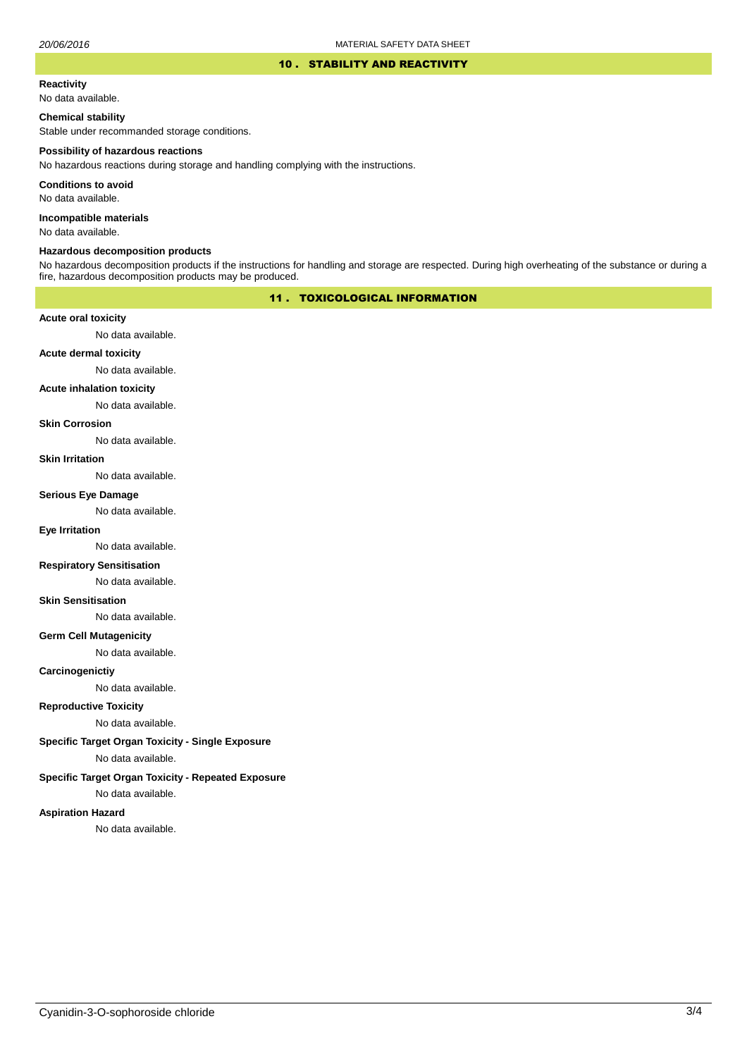#### 10 . STABILITY AND REACTIVITY

#### **Reactivity**

No data available.

### **Chemical stability**

Stable under recommanded storage conditions.

#### **Possibility of hazardous reactions**

No hazardous reactions during storage and handling complying with the instructions.

**Conditions to avoid**

No data available.

**Incompatible materials**

No data available.

#### **Hazardous decomposition products**

No hazardous decomposition products if the instructions for handling and storage are respected. During high overheating of the substance or during a fire, hazardous decomposition products may be produced.

## 11 . TOXICOLOGICAL INFORMATION

### **Acute oral toxicity**

No data available.

# **Acute dermal toxicity**

No data available.

### **Acute inhalation toxicity**

No data available.

#### **Skin Corrosion**

No data available.

#### **Skin Irritation**

No data available.

#### **Serious Eye Damage**

No data available.

## **Eye Irritation**

No data available.

### **Respiratory Sensitisation**

No data available.

#### **Skin Sensitisation**

No data available.

### **Germ Cell Mutagenicity**

No data available.

### **Carcinogenictiy**

No data available.

# **Reproductive Toxicity**

No data available.

## **Specific Target Organ Toxicity - Single Exposure**

No data available.

### **Specific Target Organ Toxicity - Repeated Exposure**

No data available.

#### **Aspiration Hazard**

No data available.